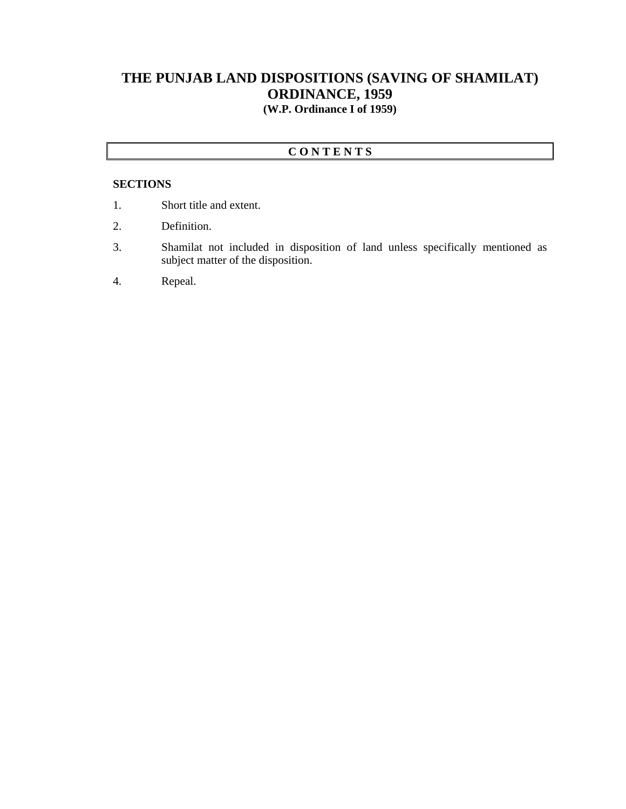## **THE PUNJAB LAND DISPOSITIONS (SAVING OF SHAMILAT) ORDINANCE, 1959 (W.P. Ordinance I of 1959)**

## **C O N T E N T S**

## **SECTIONS**

- 1. Short title and extent.
- 2. Definition.
- 3. Shamilat not included in disposition of land unless specifically mentioned as subject matter of the disposition.
- 4. Repeal.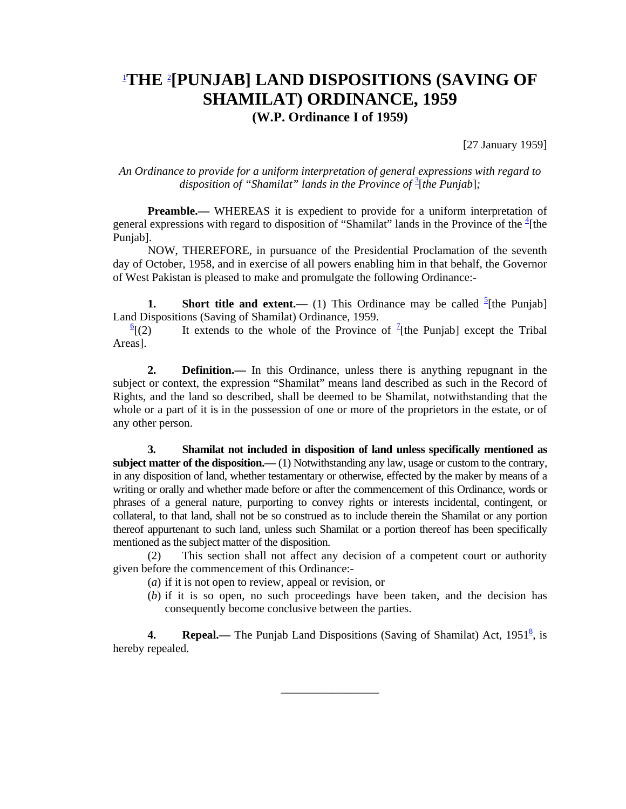## 1 **THE** <sup>2</sup> **[PUNJAB] LAND DISPOSITIONS (SAVING OF SHAMILAT) ORDINANCE, 1959 (W.P. Ordinance I of 1959)**

[27 January 1959]

*An Ordinance to provide for a uniform interpretation of general expressions with regard to*  disposition of "Shamilat" lands in the Province of <sup>3</sup>[the Punjab];

**Preamble.**— WHEREAS it is expedient to provide for a uniform interpretation of general expressions with regard to disposition of "Shamilat" lands in the Province of the  $\frac{4}{ }$ [the Punjab].

 NOW, THEREFORE, in pursuance of the Presidential Proclamation of the seventh day of October, 1958, and in exercise of all powers enabling him in that behalf, the Governor of West Pakistan is pleased to make and promulgate the following Ordinance:-

**1.** Short title and extent.— (1) This Ordinance may be called  $\frac{5}{2}$  [the Punjab] Land Dispositions (Saving of Shamilat) Ordinance, 1959.

 $\frac{6}{2}$ [(2)  $[(2)$  It extends to the whole of the Province of <sup>7</sup>[the Punjab] except the Tribal Areas].

 **2. Definition.—** In this Ordinance, unless there is anything repugnant in the subject or context, the expression "Shamilat" means land described as such in the Record of Rights, and the land so described, shall be deemed to be Shamilat, notwithstanding that the whole or a part of it is in the possession of one or more of the proprietors in the estate, or of any other person.

 **3. Shamilat not included in disposition of land unless specifically mentioned as subject matter of the disposition.—** (1) Notwithstanding any law, usage or custom to the contrary, in any disposition of land, whether testamentary or otherwise, effected by the maker by means of a writing or orally and whether made before or after the commencement of this Ordinance, words or phrases of a general nature, purporting to convey rights or interests incidental, contingent, or collateral, to that land, shall not be so construed as to include therein the Shamilat or any portion thereof appurtenant to such land, unless such Shamilat or a portion thereof has been specifically mentioned as the subject matter of the disposition.

 (2) This section shall not affect any decision of a competent court or authority given before the commencement of this Ordinance:-

- (*a*) if it is not open to review, appeal or revision, or
- (*b*) if it is so open, no such proceedings have been taken, and the decision has consequently become conclusive between the parties.

**4.** Repeal. The Punjab Land Dispositions (Saving of Shamilat) Act, 1951<sup>8</sup>, is hereby repealed.

\_\_\_\_\_\_\_\_\_\_\_\_\_\_\_\_\_